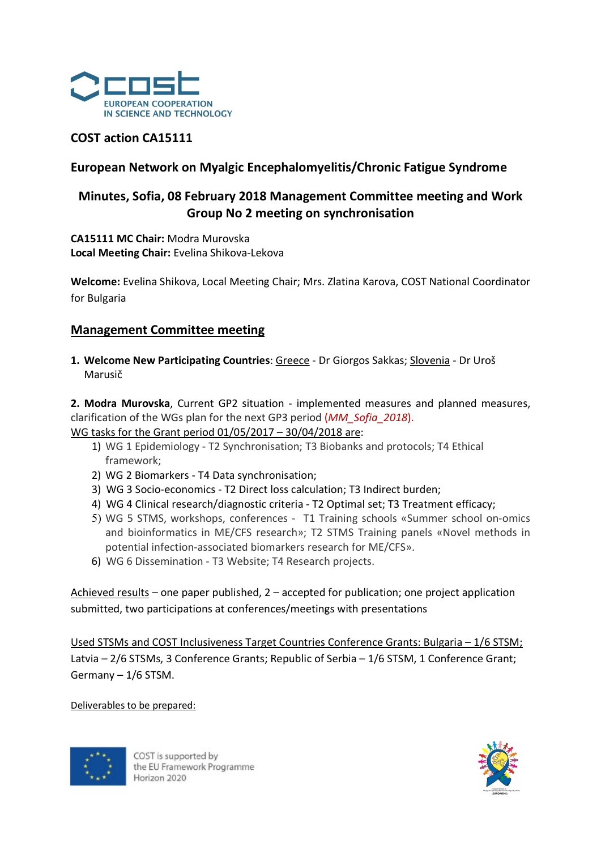

## COST action CA15111

# European Network on Myalgic Encephalomyelitis/Chronic Fatigue Syndrome

# Minutes, Sofia, 08 February 2018 Management Committee meeting and Work Group No 2 meeting on synchronisation

CA15111 MC Chair: Modra Murovska Local Meeting Chair: Evelina Shikova-Lekova

Welcome: Evelina Shikova, Local Meeting Chair; Mrs. Zlatina Karova, COST National Coordinator for Bulgaria

## Management Committee meeting

1. Welcome New Participating Countries: Greece - Dr Giorgos Sakkas; Slovenia - Dr Uroš Marusič

2. Modra Murovska, Current GP2 situation - implemented measures and planned measures, clarification of the WGs plan for the next GP3 period (MM\_Sofia\_2018). WG tasks for the Grant period 01/05/2017 – 30/04/2018 are:

- 1) WG 1 Epidemiology T2 Synchronisation; T3 Biobanks and protocols; T4 Ethical framework;
- 2) WG 2 Biomarkers T4 Data synchronisation;
- 3) WG 3 Socio-economics T2 Direct loss calculation; T3 Indirect burden;
- 4) WG 4 Clinical research/diagnostic criteria T2 Optimal set; T3 Treatment efficacy;
- 5) WG 5 STMS, workshops, conferences T1 Training schools «Summer school on-omics and bioinformatics in ME/CFS research»; T2 STMS Training panels «Novel methods in potential infection-associated biomarkers research for ME/CFS».
- 6) WG 6 Dissemination T3 Website; T4 Research projects.

Achieved results – one paper published, 2 – accepted for publication; one project application submitted, two participations at conferences/meetings with presentations

Used STSMs and COST Inclusiveness Target Countries Conference Grants: Bulgaria – 1/6 STSM; Latvia – 2/6 STSMs, 3 Conference Grants; Republic of Serbia – 1/6 STSM, 1 Conference Grant; Germany – 1/6 STSM.

Deliverables to be prepared:



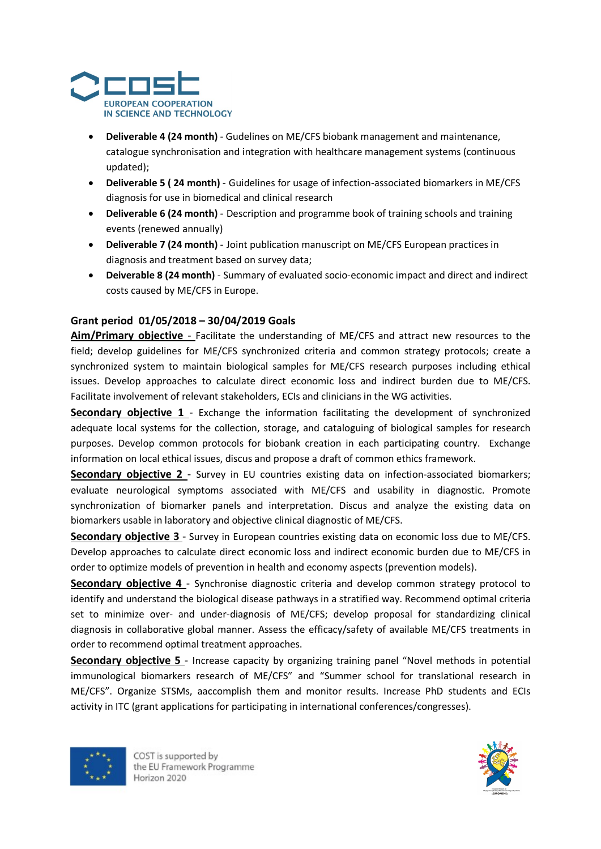

- Deliverable 4 (24 month) Gudelines on ME/CFS biobank management and maintenance, catalogue synchronisation and integration with healthcare management systems (continuous updated);
- Deliverable 5 ( 24 month) Guidelines for usage of infection-associated biomarkers in ME/CFS diagnosis for use in biomedical and clinical research
- Deliverable 6 (24 month) Description and programme book of training schools and training events (renewed annually)
- Deliverable 7 (24 month) Joint publication manuscript on ME/CFS European practices in diagnosis and treatment based on survey data;
- Deiverable 8 (24 month) Summary of evaluated socio-economic impact and direct and indirect costs caused by ME/CFS in Europe.

## Grant period 01/05/2018 – 30/04/2019 Goals

Aim/Primary objective - Facilitate the understanding of ME/CFS and attract new resources to the field; develop guidelines for ME/CFS synchronized criteria and common strategy protocols; create a synchronized system to maintain biological samples for ME/CFS research purposes including ethical issues. Develop approaches to calculate direct economic loss and indirect burden due to ME/CFS. Facilitate involvement of relevant stakeholders, ECIs and clinicians in the WG activities.

Secondary objective 1 - Exchange the information facilitating the development of synchronized adequate local systems for the collection, storage, and cataloguing of biological samples for research purposes. Develop common protocols for biobank creation in each participating country. Exchange information on local ethical issues, discus and propose a draft of common ethics framework.

Secondary objective 2 - Survey in EU countries existing data on infection-associated biomarkers; evaluate neurological symptoms associated with ME/CFS and usability in diagnostic. Promote synchronization of biomarker panels and interpretation. Discus and analyze the existing data on biomarkers usable in laboratory and objective clinical diagnostic of ME/CFS.

Secondary objective 3 - Survey in European countries existing data on economic loss due to ME/CFS. Develop approaches to calculate direct economic loss and indirect economic burden due to ME/CFS in order to optimize models of prevention in health and economy aspects (prevention models).

Secondary objective 4 - Synchronise diagnostic criteria and develop common strategy protocol to identify and understand the biological disease pathways in a stratified way. Recommend optimal criteria set to minimize over- and under-diagnosis of ME/CFS; develop proposal for standardizing clinical diagnosis in collaborative global manner. Assess the efficacy/safety of available ME/CFS treatments in order to recommend optimal treatment approaches.

Secondary objective 5 - Increase capacity by organizing training panel "Novel methods in potential immunological biomarkers research of ME/CFS" and "Summer school for translational research in ME/CFS". Organize STSMs, aaccomplish them and monitor results. Increase PhD students and ECIs activity in ITC (grant applications for participating in international conferences/congresses).



COST is supported by the EU Framework Programme Horizon 2020

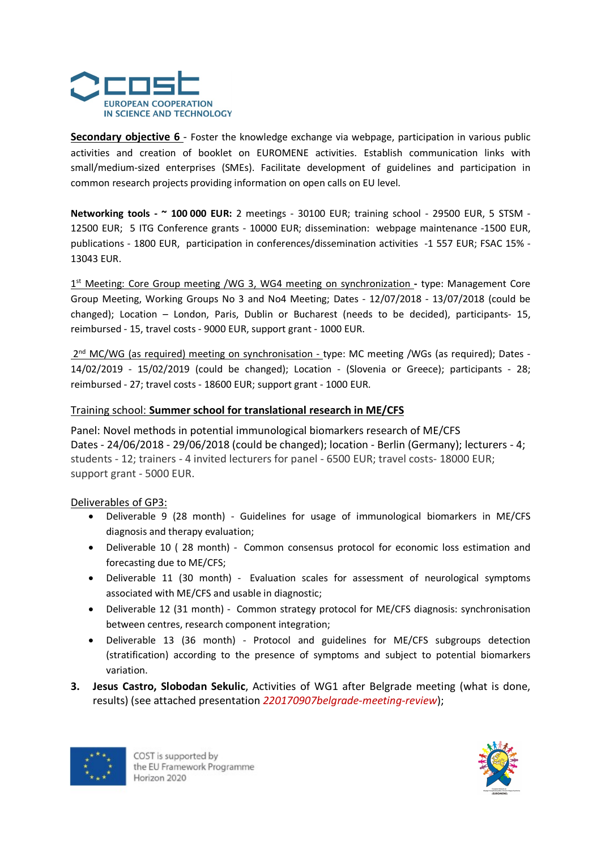

Secondary objective 6 - Foster the knowledge exchange via webpage, participation in various public activities and creation of booklet on EUROMENE activities. Establish communication links with small/medium-sized enterprises (SMEs). Facilitate development of guidelines and participation in common research projects providing information on open calls on EU level.

Networking tools - ~ 100 000 EUR: 2 meetings - 30100 EUR; training school - 29500 EUR, 5 STSM -12500 EUR; 5 ITG Conference grants - 10000 EUR; dissemination: webpage maintenance -1500 EUR, publications - 1800 EUR, participation in conferences/dissemination activities -1 557 EUR; FSAC 15% - 13043 EUR.

1<sup>st</sup> Meeting: Core Group meeting /WG 3, WG4 meeting on synchronization - type: Management Core Group Meeting, Working Groups No 3 and No4 Meeting; Dates - 12/07/2018 - 13/07/2018 (could be changed); Location – London, Paris, Dublin or Bucharest (needs to be decided), participants- 15, reimbursed - 15, travel costs - 9000 EUR, support grant - 1000 EUR.

2<sup>nd</sup> MC/WG (as required) meeting on synchronisation - type: MC meeting /WGs (as required); Dates -14/02/2019 - 15/02/2019 (could be changed); Location - (Slovenia or Greece); participants - 28; reimbursed - 27; travel costs - 18600 EUR; support grant - 1000 EUR.

#### Training school: Summer school for translational research in ME/CFS

Panel: Novel methods in potential immunological biomarkers research of ME/CFS Dates - 24/06/2018 - 29/06/2018 (could be changed); location - Berlin (Germany); lecturers - 4; students - 12; trainers - 4 invited lecturers for panel - 6500 EUR; travel costs- 18000 EUR; support grant - 5000 EUR.

#### Deliverables of GP3:

- Deliverable 9 (28 month) Guidelines for usage of immunological biomarkers in ME/CFS diagnosis and therapy evaluation;
- Deliverable 10 ( 28 month) Common consensus protocol for economic loss estimation and forecasting due to ME/CFS;
- Deliverable 11 (30 month) Evaluation scales for assessment of neurological symptoms associated with ME/CFS and usable in diagnostic;
- Deliverable 12 (31 month) Common strategy protocol for ME/CFS diagnosis: synchronisation between centres, research component integration;
- Deliverable 13 (36 month) Protocol and guidelines for ME/CFS subgroups detection (stratification) according to the presence of symptoms and subject to potential biomarkers variation.
- 3. Jesus Castro, Slobodan Sekulic, Activities of WG1 after Belgrade meeting (what is done, results) (see attached presentation 220170907belgrade-meeting-review);



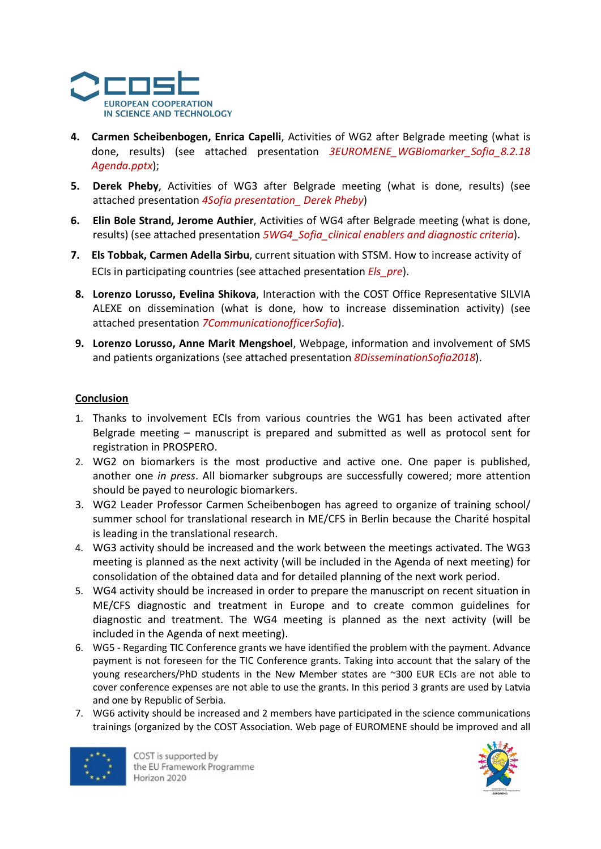

- 4. Carmen Scheibenbogen, Enrica Capelli, Activities of WG2 after Belgrade meeting (what is done, results) (see attached presentation 3EUROMENE WGBiomarker Sofia 8.2.18 Agenda.pptx);
- 5. Derek Pheby, Activities of WG3 after Belgrade meeting (what is done, results) (see attached presentation 4Sofia presentation\_ Derek Pheby)
- 6. Elin Bole Strand, Jerome Authier, Activities of WG4 after Belgrade meeting (what is done, results) (see attached presentation 5WG4\_Sofia\_clinical enablers and diagnostic criteria).
- 7. Els Tobbak, Carmen Adella Sirbu, current situation with STSM. How to increase activity of ECIs in participating countries (see attached presentation *Els pre*).
- 8. Lorenzo Lorusso, Evelina Shikova, Interaction with the COST Office Representative SILVIA ALEXE on dissemination (what is done, how to increase dissemination activity) (see attached presentation 7CommunicationofficerSofia).
- 9. Lorenzo Lorusso, Anne Marit Mengshoel, Webpage, information and involvement of SMS and patients organizations (see attached presentation 8DisseminationSofia2018).

## **Conclusion**

- 1. Thanks to involvement ECIs from various countries the WG1 has been activated after Belgrade meeting – manuscript is prepared and submitted as well as protocol sent for registration in PROSPERO.
- 2. WG2 on biomarkers is the most productive and active one. One paper is published, another one in press. All biomarker subgroups are successfully cowered; more attention should be payed to neurologic biomarkers.
- 3. WG2 Leader Professor Carmen Scheibenbogen has agreed to organize of training school/ summer school for translational research in ME/CFS in Berlin because the Charité hospital is leading in the translational research.
- 4. WG3 activity should be increased and the work between the meetings activated. The WG3 meeting is planned as the next activity (will be included in the Agenda of next meeting) for consolidation of the obtained data and for detailed planning of the next work period.
- 5. WG4 activity should be increased in order to prepare the manuscript on recent situation in ME/CFS diagnostic and treatment in Europe and to create common guidelines for diagnostic and treatment. The WG4 meeting is planned as the next activity (will be included in the Agenda of next meeting).
- 6. WG5 Regarding TIC Conference grants we have identified the problem with the payment. Advance payment is not foreseen for the TIC Conference grants. Taking into account that the salary of the young researchers/PhD students in the New Member states are ~300 EUR ECIs are not able to cover conference expenses are not able to use the grants. In this period 3 grants are used by Latvia and one by Republic of Serbia.
- 7. WG6 activity should be increased and 2 members have participated in the science communications trainings (organized by the COST Association. Web page of EUROMENE should be improved and all



COST is supported by the EU Framework Programme Horizon 2020